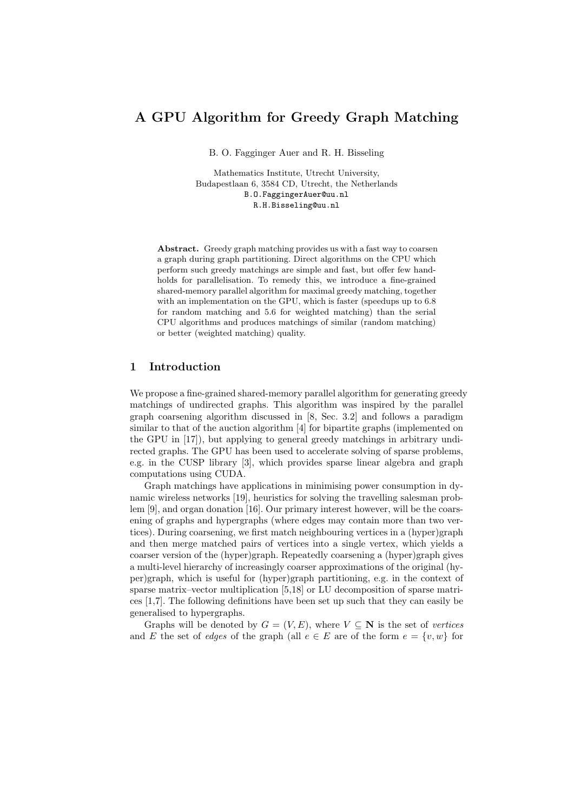# A GPU Algorithm for Greedy Graph Matching

B. O. Fagginger Auer and R. H. Bisseling

Mathematics Institute, Utrecht University, Budapestlaan 6, 3584 CD, Utrecht, the Netherlands B.O.FaggingerAuer@uu.nl R.H.Bisseling@uu.nl

Abstract. Greedy graph matching provides us with a fast way to coarsen a graph during graph partitioning. Direct algorithms on the CPU which perform such greedy matchings are simple and fast, but offer few handholds for parallelisation. To remedy this, we introduce a fine-grained shared-memory parallel algorithm for maximal greedy matching, together with an implementation on the GPU, which is faster (speedups up to  $6.8$ ) for random matching and 5.6 for weighted matching) than the serial CPU algorithms and produces matchings of similar (random matching) or better (weighted matching) quality.

# 1 Introduction

We propose a fine-grained shared-memory parallel algorithm for generating greedy matchings of undirected graphs. This algorithm was inspired by the parallel graph coarsening algorithm discussed in [8, Sec. 3.2] and follows a paradigm similar to that of the auction algorithm [4] for bipartite graphs (implemented on the GPU in [17]), but applying to general greedy matchings in arbitrary undirected graphs. The GPU has been used to accelerate solving of sparse problems, e.g. in the CUSP library [3], which provides sparse linear algebra and graph computations using CUDA.

Graph matchings have applications in minimising power consumption in dynamic wireless networks [19], heuristics for solving the travelling salesman problem [9], and organ donation [16]. Our primary interest however, will be the coarsening of graphs and hypergraphs (where edges may contain more than two vertices). During coarsening, we first match neighbouring vertices in a (hyper)graph and then merge matched pairs of vertices into a single vertex, which yields a coarser version of the (hyper)graph. Repeatedly coarsening a (hyper)graph gives a multi-level hierarchy of increasingly coarser approximations of the original (hyper)graph, which is useful for (hyper)graph partitioning, e.g. in the context of sparse matrix–vector multiplication [5,18] or LU decomposition of sparse matrices [1,7]. The following definitions have been set up such that they can easily be generalised to hypergraphs.

Graphs will be denoted by  $G = (V, E)$ , where  $V \subseteq \mathbb{N}$  is the set of vertices and E the set of edges of the graph (all  $e \in E$  are of the form  $e = \{v, w\}$  for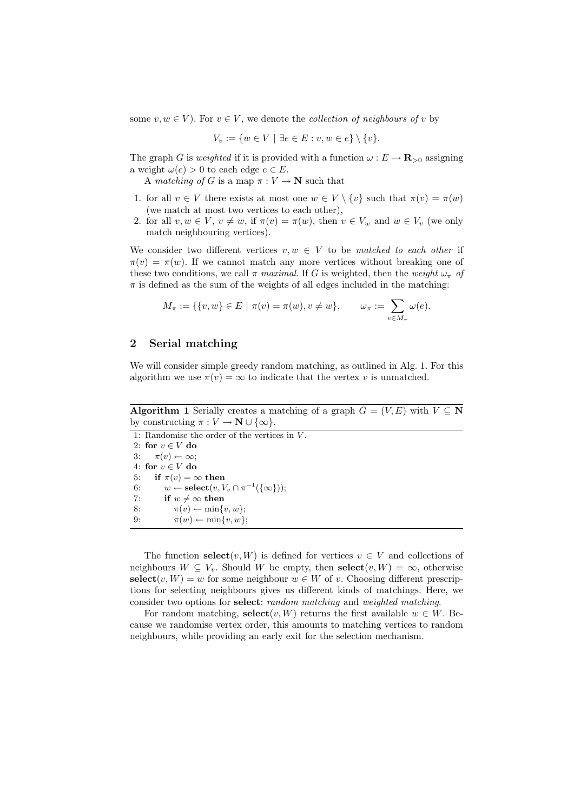some  $v, w \in V$ . For  $v \in V$ , we denote the *collection of neighbours of* v by

$$
V_v := \{ w \in V \mid \exists e \in E : v, w \in e \} \setminus \{v\}.
$$

The graph G is weighted if it is provided with a function  $\omega : E \to \mathbf{R}_{>0}$  assigning a weight  $\omega(e) > 0$  to each edge  $e \in E$ .

A matching of G is a map  $\pi : V \to \mathbb{N}$  such that

- 1. for all  $v \in V$  there exists at most one  $w \in V \setminus \{v\}$  such that  $\pi(v) = \pi(w)$ (we match at most two vertices to each other),
- 2. for all  $v, w \in V$ ,  $v \neq w$ , if  $\pi(v) = \pi(w)$ , then  $v \in V_w$  and  $w \in V_v$  (we only match neighbouring vertices).

We consider two different vertices  $v, w \in V$  to be matched to each other if  $\pi(v) = \pi(w)$ . If we cannot match any more vertices without breaking one of these two conditions, we call  $\pi$  maximal. If G is weighted, then the weight  $\omega_{\pi}$  of  $\pi$  is defined as the sum of the weights of all edges included in the matching:

$$
M_{\pi} := \{ \{v, w\} \in E \mid \pi(v) = \pi(w), v \neq w \}, \qquad \omega_{\pi} := \sum_{e \in M_{\pi}} \omega(e).
$$

# 2 Serial matching

We will consider simple greedy random matching, as outlined in Alg. 1. For this algorithm we use  $\pi(v) = \infty$  to indicate that the vertex v is unmatched.

Algorithm 1 Serially creates a matching of a graph  $G = (V, E)$  with  $V \subseteq N$ by constructing  $\pi : V \to \mathbb{N} \cup \{\infty\}.$ 

1: Randomise the order of the vertices in V . 2: for  $v \in V$  do 3:  $\pi(v) \leftarrow \infty;$ 4: for  $v \in V$  do 5: if  $\pi(v) = \infty$  then 6:  $w \leftarrow \textbf{select}(v, V_v \cap \pi^{-1}(\{\infty\}));$ 7: if  $w \neq \infty$  then 8:  $\pi(v) \leftarrow \min\{v, w\};$ 9:  $\pi(w) \leftarrow \min\{v, w\};$ 

The function  $select(v, W)$  is defined for vertices  $v \in V$  and collections of neighbours  $W \subseteq V_v$ . Should W be empty, then **select** $(v, W) = \infty$ , otherwise  $select(v, W) = w$  for some neighbour  $w \in W$  of v. Choosing different prescriptions for selecting neighbours gives us different kinds of matchings. Here, we consider two options for select: random matching and weighted matching.

For random matching,  $select(v, W)$  returns the first available  $w \in W$ . Because we randomise vertex order, this amounts to matching vertices to random neighbours, while providing an early exit for the selection mechanism.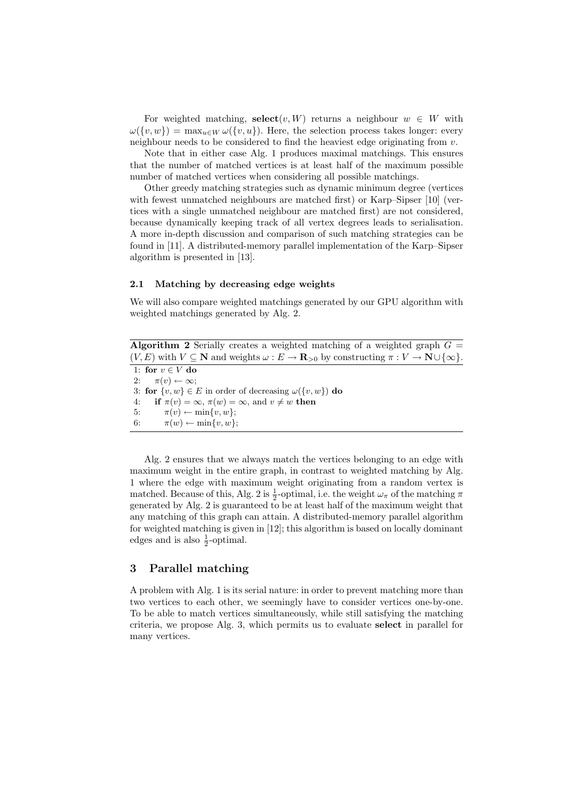For weighted matching,  $select(v, W)$  returns a neighbour  $w \in W$  with  $\omega({v, w}) = \max_{u \in W} \omega({v, u})$ . Here, the selection process takes longer: every neighbour needs to be considered to find the heaviest edge originating from  $v$ .

Note that in either case Alg. 1 produces maximal matchings. This ensures that the number of matched vertices is at least half of the maximum possible number of matched vertices when considering all possible matchings.

Other greedy matching strategies such as dynamic minimum degree (vertices with fewest unmatched neighbours are matched first) or Karp–Sipser [10] (vertices with a single unmatched neighbour are matched first) are not considered, because dynamically keeping track of all vertex degrees leads to serialisation. A more in-depth discussion and comparison of such matching strategies can be found in [11]. A distributed-memory parallel implementation of the Karp–Sipser algorithm is presented in [13].

#### 2.1 Matching by decreasing edge weights

We will also compare weighted matchings generated by our GPU algorithm with weighted matchings generated by Alg. 2.

**Algorithm 2** Serially creates a weighted matching of a weighted graph  $G =$  $(V, E)$  with  $V \subseteq \mathbf{N}$  and weights  $\omega : E \to \mathbf{R}_{>0}$  by constructing  $\pi : V \to \mathbf{N} \cup \{\infty\}.$ 

1: for  $v \in V$  do 2:  $\pi(v) \leftarrow \infty;$ 3: for  $\{v, w\} \in E$  in order of decreasing  $\omega(\{v, w\})$  do 4: if  $\pi(v) = \infty$ ,  $\pi(w) = \infty$ , and  $v \neq w$  then 5:  $\pi(v) \leftarrow \min\{v, w\};$ 6:  $\pi(w) \leftarrow \min\{v, w\};$ 

Alg. 2 ensures that we always match the vertices belonging to an edge with maximum weight in the entire graph, in contrast to weighted matching by Alg. 1 where the edge with maximum weight originating from a random vertex is matched. Because of this, Alg. 2 is  $\frac{1}{2}$ -optimal, i.e. the weight  $\omega_{\pi}$  of the matching  $\pi$ generated by Alg. 2 is guaranteed to be at least half of the maximum weight that any matching of this graph can attain. A distributed-memory parallel algorithm for weighted matching is given in [12]; this algorithm is based on locally dominant edges and is also  $\frac{1}{2}$ -optimal.

# 3 Parallel matching

A problem with Alg. 1 is its serial nature: in order to prevent matching more than two vertices to each other, we seemingly have to consider vertices one-by-one. To be able to match vertices simultaneously, while still satisfying the matching criteria, we propose Alg. 3, which permits us to evaluate select in parallel for many vertices.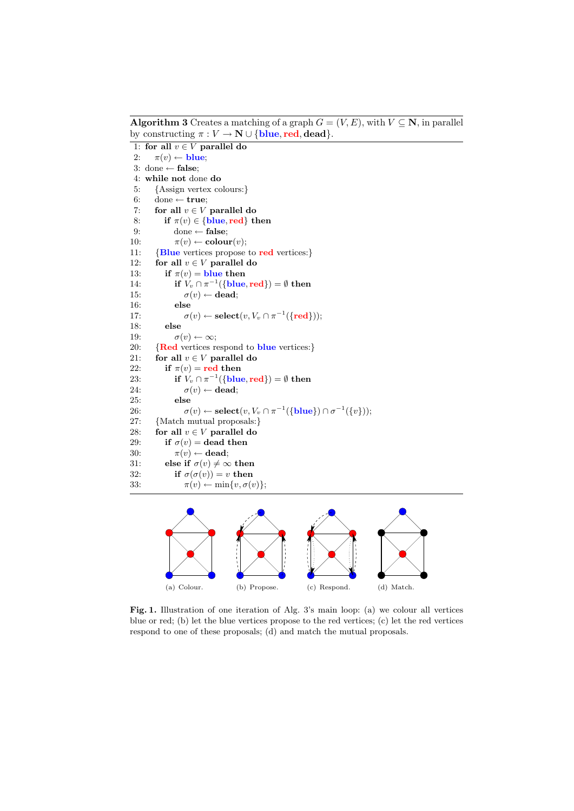by constructing  $\pi : V \to \mathbb{N} \cup \{ \text{blue}, \text{red}, \text{dead} \}.$ 1: for all  $v \in V$  parallel do 2:  $\pi(v) \leftarrow blue;$ 3: done  $\leftarrow$  false; 4: while not done do 5: {Assign vertex colours:} 6: done  $\leftarrow$  true; 7: for all  $v \in V$  parallel do 8: if  $\pi(v) \in \{\text{blue}, \text{red}\}$  then 9: done ← false; 10:  $\pi(v) \leftarrow \mathbf{colour}(v);$ 11: {Blue vertices propose to red vertices:} 12: for all  $v \in V$  parallel do 13: if  $\pi(v) =$ blue then 14: **if**  $V_v \cap \pi^{-1}(\{\text{blue}, \text{red}\}) = \emptyset$  then 15:  $\sigma(v) \leftarrow \text{dead};$ 16: else 17:  $\sigma(v) \leftarrow \textbf{select}(v, V_v \cap \pi^{-1}(\{\textbf{red}\}));$ 18: else 19:  $\sigma(v) \leftarrow \infty;$ 20: {Red vertices respond to blue vertices:} 21: for all  $v \in V$  parallel do 22: if  $\pi(v) = \text{red}$  then 23: if  $V_v \cap \pi^{-1}(\{\text{blue}, \text{red}\}) = \emptyset$  then 24:  $\sigma(v) \leftarrow \text{dead};$ 25: else 26:  $\sigma(v) \leftarrow \textbf{select}(v, V_v \cap \pi^{-1}(\{\textbf{blue}\}) \cap \sigma^{-1}(\{v\}));$ 27: {Match mutual proposals:} 28: for all  $v \in V$  parallel do 29: if  $\sigma(v) =$  dead then 30:  $\pi(v) \leftarrow$  dead; 31: else if  $\sigma(v) \neq \infty$  then 32: if  $\sigma(\sigma(v)) = v$  then 33:  $\pi(v) \leftarrow \min\{v, \sigma(v)\};$ 



Fig. 1. Illustration of one iteration of Alg. 3's main loop: (a) we colour all vertices blue or red; (b) let the blue vertices propose to the red vertices; (c) let the red vertices respond to one of these proposals; (d) and match the mutual proposals.

**Algorithm 3** Creates a matching of a graph  $G = (V, E)$ , with  $V \subseteq N$ , in parallel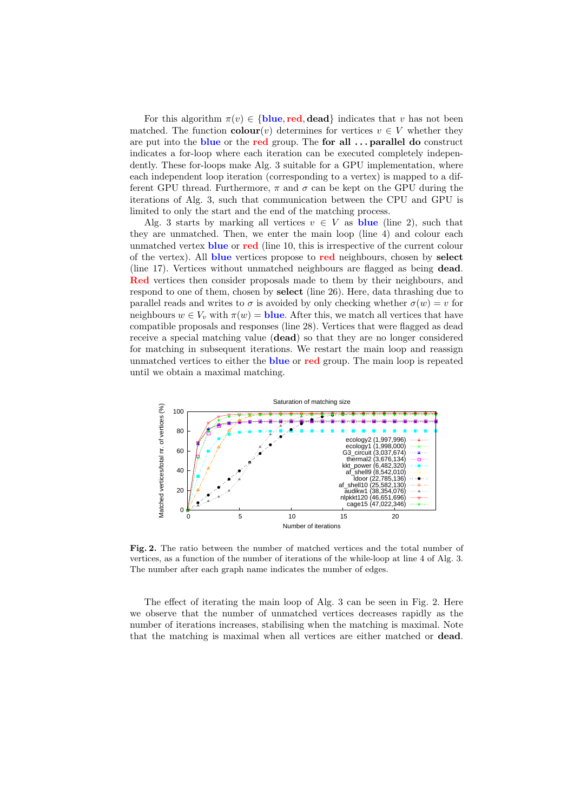For this algorithm  $\pi(v) \in \{\text{blue}, \text{red}, \text{dead}\}\$  indicates that v has not been matched. The function  $\text{colour}(v)$  determines for vertices  $v \in V$  whether they are put into the **blue** or the **red** group. The **for all ... parallel do** construct indicates a for-loop where each iteration can be executed completely independently. These for-loops make Alg. 3 suitable for a GPU implementation, where each independent loop iteration (corresponding to a vertex) is mapped to a different GPU thread. Furthermore,  $\pi$  and  $\sigma$  can be kept on the GPU during the iterations of Alg. 3, such that communication between the CPU and GPU is limited to only the start and the end of the matching process.

Alg. 3 starts by marking all vertices  $v \in V$  as blue (line 2), such that they are unmatched. Then, we enter the main loop (line 4) and colour each unmatched vertex blue or red (line 10, this is irrespective of the current colour of the vertex). All blue vertices propose to red neighbours, chosen by select (line 17). Vertices without unmatched neighbours are flagged as being dead. Red vertices then consider proposals made to them by their neighbours, and respond to one of them, chosen by select (line 26). Here, data thrashing due to parallel reads and writes to  $\sigma$  is avoided by only checking whether  $\sigma(w) = v$  for neighbours  $w \in V_v$  with  $\pi(w) =$ **blue**. After this, we match all vertices that have compatible proposals and responses (line 28). Vertices that were flagged as dead receive a special matching value (dead) so that they are no longer considered for matching in subsequent iterations. We restart the main loop and reassign unmatched vertices to either the blue or red group. The main loop is repeated until we obtain a maximal matching.



Fig. 2. The ratio between the number of matched vertices and the total number of vertices, as a function of the number of iterations of the while-loop at line 4 of Alg. 3. The number after each graph name indicates the number of edges.

The effect of iterating the main loop of Alg. 3 can be seen in Fig. 2. Here we observe that the number of unmatched vertices decreases rapidly as the number of iterations increases, stabilising when the matching is maximal. Note that the matching is maximal when all vertices are either matched or dead.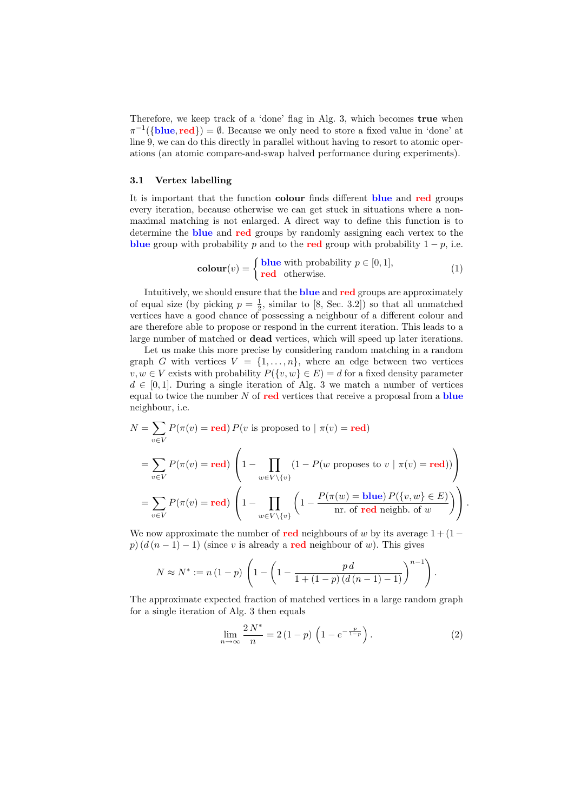Therefore, we keep track of a 'done' flag in Alg. 3, which becomes true when  $\pi^{-1}(\{\text{blue}, \text{red}\}) = \emptyset$ . Because we only need to store a fixed value in 'done' at line 9, we can do this directly in parallel without having to resort to atomic operations (an atomic compare-and-swap halved performance during experiments).

#### 3.1 Vertex labelling

It is important that the function colour finds different blue and red groups every iteration, because otherwise we can get stuck in situations where a nonmaximal matching is not enlarged. A direct way to define this function is to determine the **blue** and **red** groups by randomly assigning each vertex to the blue group with probability p and to the red group with probability  $1 - p$ , i.e.

$$
colour(v) = \begin{cases} blue with probability p \in [0, 1], \\ red otherwise. \end{cases}
$$
 (1)

Intuitively, we should ensure that the blue and red groups are approximately of equal size (by picking  $p = \frac{1}{2}$ , similar to [8, Sec. 3.2]) so that all unmatched vertices have a good chance of possessing a neighbour of a different colour and are therefore able to propose or respond in the current iteration. This leads to a large number of matched or dead vertices, which will speed up later iterations.

Let us make this more precise by considering random matching in a random graph G with vertices  $V = \{1, \ldots, n\}$ , where an edge between two vertices  $v, w \in V$  exists with probability  $P({v, w} \in E) = d$  for a fixed density parameter  $d \in [0, 1]$ . During a single iteration of Alg. 3 we match a number of vertices equal to twice the number  $N$  of red vertices that receive a proposal from a **blue** neighbour, i.e.

$$
N = \sum_{v \in V} P(\pi(v) = \text{red}) P(v \text{ is proposed to } |\pi(v) = \text{red})
$$
  
= 
$$
\sum_{v \in V} P(\pi(v) = \text{red}) \left( 1 - \prod_{w \in V \setminus \{v\}} (1 - P(w \text{ proposes to } v | \pi(v) = \text{red})) \right)
$$
  
= 
$$
\sum_{v \in V} P(\pi(v) = \text{red}) \left( 1 - \prod_{w \in V \setminus \{v\}} \left( 1 - \frac{P(\pi(w) = \text{blue}) P(\{v, w\} \in E)}{\text{nr. of red neighbor. of } w} \right) \right).
$$

We now approximate the number of red neighbours of w by its average  $1+(1-\alpha)$  $p$ )  $(d (n - 1) - 1)$  (since v is already a **red** neighbour of w). This gives

$$
N \approx N^* := n (1 - p) \left( 1 - \left( 1 - \frac{p d}{1 + (1 - p) (d (n - 1) - 1)} \right)^{n-1} \right).
$$

The approximate expected fraction of matched vertices in a large random graph for a single iteration of Alg. 3 then equals

$$
\lim_{n \to \infty} \frac{2 N^*}{n} = 2 (1 - p) \left( 1 - e^{-\frac{p}{1 - p}} \right). \tag{2}
$$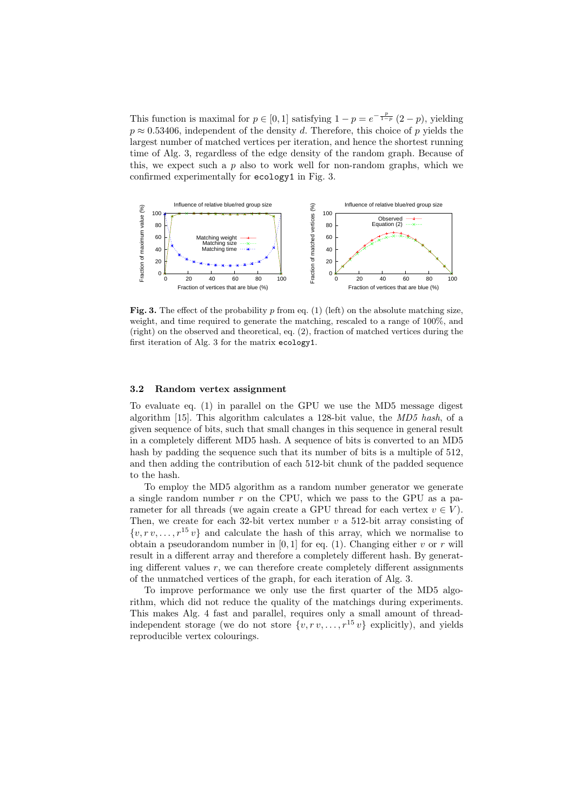This function is maximal for  $p \in [0, 1]$  satisfying  $1 - p = e^{-\frac{p}{1-p}} (2 - p)$ , yielding  $p \approx 0.53406$ , independent of the density d. Therefore, this choice of p yields the largest number of matched vertices per iteration, and hence the shortest running time of Alg. 3, regardless of the edge density of the random graph. Because of this, we expect such a  $p$  also to work well for non-random graphs, which we confirmed experimentally for ecology1 in Fig. 3.



Fig. 3. The effect of the probability  $p$  from eq. (1) (left) on the absolute matching size, weight, and time required to generate the matching, rescaled to a range of 100%, and (right) on the observed and theoretical, eq. (2), fraction of matched vertices during the first iteration of Alg. 3 for the matrix ecology1.

#### 3.2 Random vertex assignment

To evaluate eq. (1) in parallel on the GPU we use the MD5 message digest algorithm [15]. This algorithm calculates a 128-bit value, the MD5 hash, of a given sequence of bits, such that small changes in this sequence in general result in a completely different MD5 hash. A sequence of bits is converted to an MD5 hash by padding the sequence such that its number of bits is a multiple of 512, and then adding the contribution of each 512-bit chunk of the padded sequence to the hash.

To employ the MD5 algorithm as a random number generator we generate a single random number  $r$  on the CPU, which we pass to the GPU as a parameter for all threads (we again create a GPU thread for each vertex  $v \in V$ ). Then, we create for each 32-bit vertex number  $v$  a 512-bit array consisting of  $\{v, rv, \ldots, r^{15}v\}$  and calculate the hash of this array, which we normalise to obtain a pseudorandom number in  $[0, 1]$  for eq. (1). Changing either v or r will result in a different array and therefore a completely different hash. By generating different values  $r$ , we can therefore create completely different assignments of the unmatched vertices of the graph, for each iteration of Alg. 3.

To improve performance we only use the first quarter of the MD5 algorithm, which did not reduce the quality of the matchings during experiments. This makes Alg. 4 fast and parallel, requires only a small amount of threadindependent storage (we do not store  $\{v, r v, \ldots, r^{15} v\}$  explicitly), and yields reproducible vertex colourings.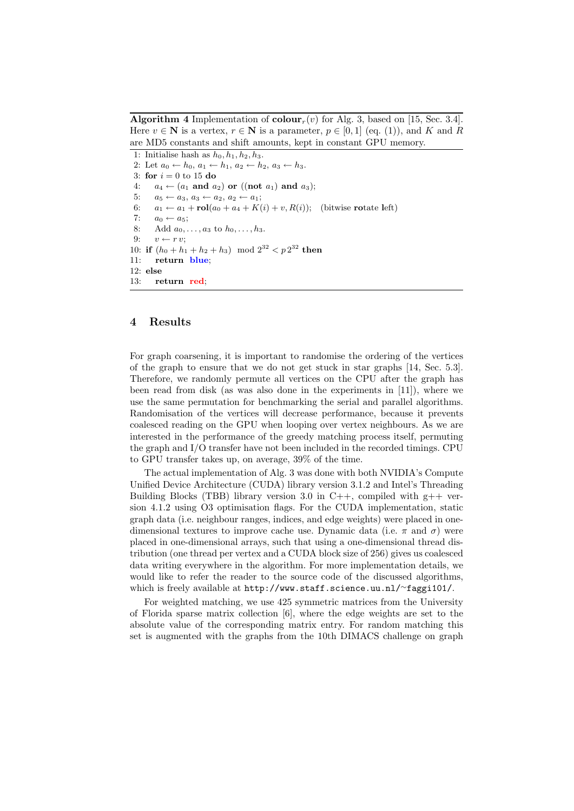Algorithm 4 Implementation of  $\text{colour}_r(v)$  for Alg. 3, based on [15, Sec. 3.4]. Here  $v \in \mathbb{N}$  is a vertex,  $r \in \mathbb{N}$  is a parameter,  $p \in [0, 1]$  (eq. (1)), and K and R are MD5 constants and shift amounts, kept in constant GPU memory.

1: Initialise hash as  $h_0, h_1, h_2, h_3$ . 2: Let  $a_0 \leftarrow h_0, a_1 \leftarrow h_1, a_2 \leftarrow h_2, a_3 \leftarrow h_3.$ 3: for  $i = 0$  to 15 do 4:  $a_4 \leftarrow (a_1 \text{ and } a_2) \text{ or } ((\text{not } a_1) \text{ and } a_3);$ 5:  $a_5 \leftarrow a_3, a_3 \leftarrow a_2, a_2 \leftarrow a_1;$ 6:  $a_1 \leftarrow a_1 + \text{rol}(a_0 + a_4 + K(i) + v, R(i));$  (bitwise rotate left) 7:  $a_0 \leftarrow a_5$ ; 8: Add  $a_0, \ldots, a_3$  to  $h_0, \ldots, h_3$ . 9:  $v \leftarrow r v$ : 10: if  $(h_0 + h_1 + h_2 + h_3) \mod 2^{32} < p \, 2^{32}$  then 11: return blue; 12: else 13: return red;

# 4 Results

For graph coarsening, it is important to randomise the ordering of the vertices of the graph to ensure that we do not get stuck in star graphs [14, Sec. 5.3]. Therefore, we randomly permute all vertices on the CPU after the graph has been read from disk (as was also done in the experiments in [11]), where we use the same permutation for benchmarking the serial and parallel algorithms. Randomisation of the vertices will decrease performance, because it prevents coalesced reading on the GPU when looping over vertex neighbours. As we are interested in the performance of the greedy matching process itself, permuting the graph and I/O transfer have not been included in the recorded timings. CPU to GPU transfer takes up, on average, 39% of the time.

The actual implementation of Alg. 3 was done with both NVIDIA's Compute Unified Device Architecture (CUDA) library version 3.1.2 and Intel's Threading Building Blocks (TBB) library version 3.0 in C++, compiled with  $g++$  version 4.1.2 using O3 optimisation flags. For the CUDA implementation, static graph data (i.e. neighbour ranges, indices, and edge weights) were placed in onedimensional textures to improve cache use. Dynamic data (i.e.  $\pi$  and  $\sigma$ ) were placed in one-dimensional arrays, such that using a one-dimensional thread distribution (one thread per vertex and a CUDA block size of 256) gives us coalesced data writing everywhere in the algorithm. For more implementation details, we would like to refer the reader to the source code of the discussed algorithms, which is freely available at http://www.staff.science.uu.nl/<sup>∼</sup>faggi101/.

For weighted matching, we use 425 symmetric matrices from the University of Florida sparse matrix collection  $[6]$ , where the edge weights are set to the absolute value of the corresponding matrix entry. For random matching this set is augmented with the graphs from the 10th DIMACS challenge on graph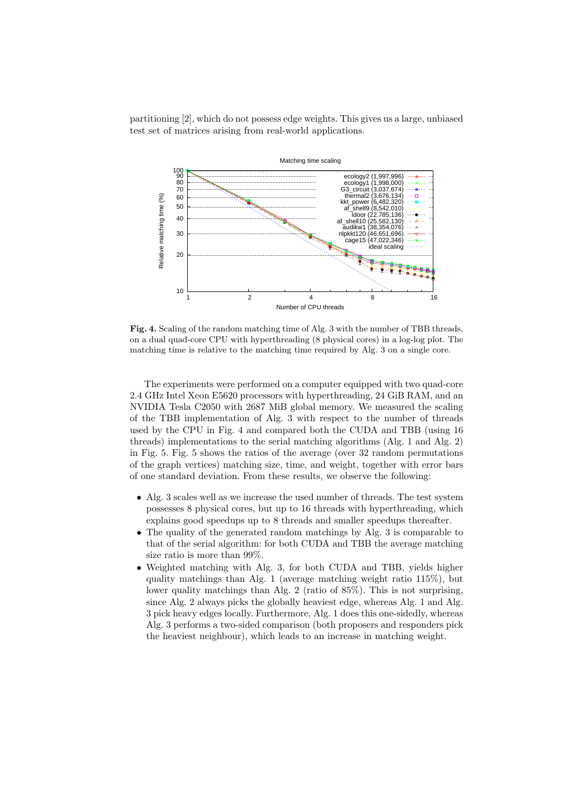partitioning [2], which do not possess edge weights. This gives us a large, unbiased test set of matrices arising from real-world applications.



Fig. 4. Scaling of the random matching time of Alg. 3 with the number of TBB threads, on a dual quad-core CPU with hyperthreading (8 physical cores) in a log-log plot. The matching time is relative to the matching time required by Alg. 3 on a single core.

The experiments were performed on a computer equipped with two quad-core 2.4 GHz Intel Xeon E5620 processors with hyperthreading, 24 GiB RAM, and an NVIDIA Tesla C2050 with 2687 MiB global memory. We measured the scaling of the TBB implementation of Alg. 3 with respect to the number of threads used by the CPU in Fig. 4 and compared both the CUDA and TBB (using 16 threads) implementations to the serial matching algorithms (Alg. 1 and Alg. 2) in Fig. 5. Fig. 5 shows the ratios of the average (over 32 random permutations of the graph vertices) matching size, time, and weight, together with error bars of one standard deviation. From these results, we observe the following:

- Alg. 3 scales well as we increase the used number of threads. The test system possesses 8 physical cores, but up to 16 threads with hyperthreading, which explains good speedups up to 8 threads and smaller speedups thereafter.
- The quality of the generated random matchings by Alg. 3 is comparable to that of the serial algorithm: for both CUDA and TBB the average matching size ratio is more than 99%.
- Weighted matching with Alg. 3, for both CUDA and TBB, yields higher quality matchings than Alg. 1 (average matching weight ratio 115%), but lower quality matchings than Alg. 2 (ratio of 85%). This is not surprising, since Alg. 2 always picks the globally heaviest edge, whereas Alg. 1 and Alg. 3 pick heavy edges locally. Furthermore, Alg. 1 does this one-sidedly, whereas Alg. 3 performs a two-sided comparison (both proposers and responders pick the heaviest neighbour), which leads to an increase in matching weight.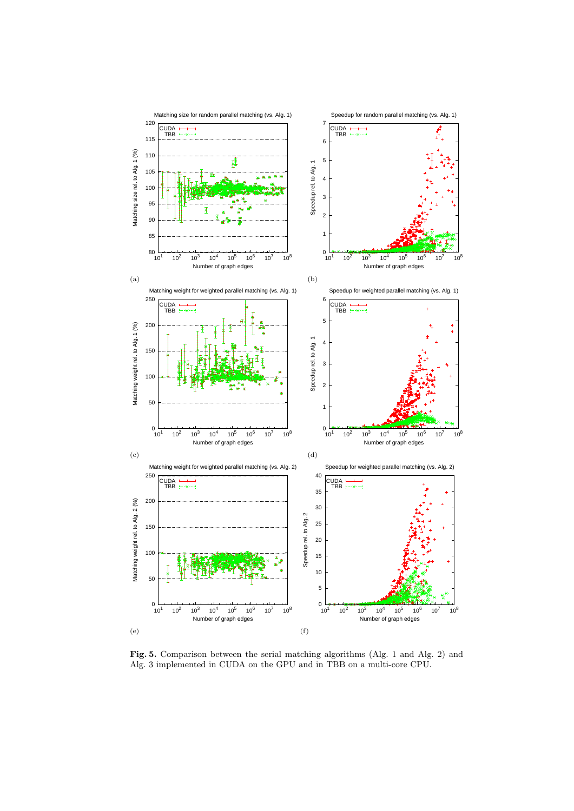

Fig. 5. Comparison between the serial matching algorithms (Alg. 1 and Alg. 2) and Alg. 3 implemented in CUDA on the GPU and in TBB on a multi-core CPU.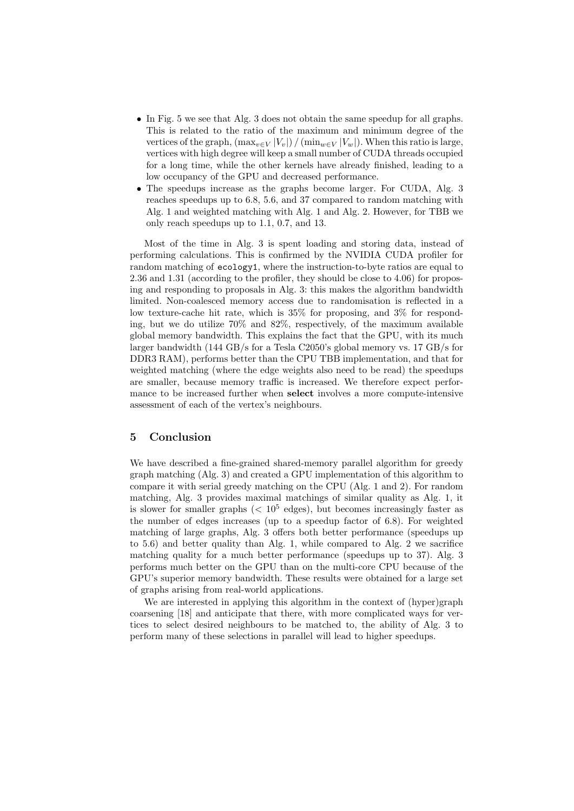- In Fig. 5 we see that Alg. 3 does not obtain the same speedup for all graphs. This is related to the ratio of the maximum and minimum degree of the vertices of the graph,  $(\max_{v \in V} |V_v|) / (\min_{w \in V} |V_w|)$ . When this ratio is large, vertices with high degree will keep a small number of CUDA threads occupied for a long time, while the other kernels have already finished, leading to a low occupancy of the GPU and decreased performance.
- The speedups increase as the graphs become larger. For CUDA, Alg. 3 reaches speedups up to 6.8, 5.6, and 37 compared to random matching with Alg. 1 and weighted matching with Alg. 1 and Alg. 2. However, for TBB we only reach speedups up to 1.1, 0.7, and 13.

Most of the time in Alg. 3 is spent loading and storing data, instead of performing calculations. This is confirmed by the NVIDIA CUDA profiler for random matching of ecology1, where the instruction-to-byte ratios are equal to 2.36 and 1.31 (according to the profiler, they should be close to 4.06) for proposing and responding to proposals in Alg. 3: this makes the algorithm bandwidth limited. Non-coalesced memory access due to randomisation is reflected in a low texture-cache hit rate, which is 35% for proposing, and 3% for responding, but we do utilize 70% and 82%, respectively, of the maximum available global memory bandwidth. This explains the fact that the GPU, with its much larger bandwidth (144 GB/s for a Tesla C2050's global memory vs. 17 GB/s for DDR3 RAM), performs better than the CPU TBB implementation, and that for weighted matching (where the edge weights also need to be read) the speedups are smaller, because memory traffic is increased. We therefore expect performance to be increased further when select involves a more compute-intensive assessment of each of the vertex's neighbours.

# 5 Conclusion

We have described a fine-grained shared-memory parallel algorithm for greedy graph matching (Alg. 3) and created a GPU implementation of this algorithm to compare it with serial greedy matching on the CPU (Alg. 1 and 2). For random matching, Alg. 3 provides maximal matchings of similar quality as Alg. 1, it is slower for smaller graphs  $( $10^5$  edges), but becomes increasingly faster as$ the number of edges increases (up to a speedup factor of 6.8). For weighted matching of large graphs, Alg. 3 offers both better performance (speedups up to 5.6) and better quality than Alg. 1, while compared to Alg. 2 we sacrifice matching quality for a much better performance (speedups up to 37). Alg. 3 performs much better on the GPU than on the multi-core CPU because of the GPU's superior memory bandwidth. These results were obtained for a large set of graphs arising from real-world applications.

We are interested in applying this algorithm in the context of (hyper)graph coarsening [18] and anticipate that there, with more complicated ways for vertices to select desired neighbours to be matched to, the ability of Alg. 3 to perform many of these selections in parallel will lead to higher speedups.